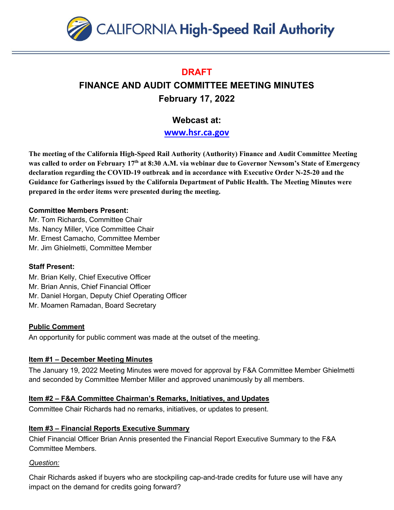

## **DRAFT**

# **FINANCE AND AUDIT COMMITTEE MEETING MINUTES February 17, 2022**

# **Webcast at:**

**[www.hsr.ca.gov](http://www.hsr.ca.gov/)**

**The meeting of the California High-Speed Rail Authority (Authority) Finance and Audit Committee Meeting was called to order on February 17th at 8:30 A.M. via webinar due to Governor Newsom's State of Emergency declaration regarding the COVID-19 outbreak and in accordance with Executive Order N-25-20 and the Guidance for Gatherings issued by the California Department of Public Health. The Meeting Minutes were prepared in the order items were presented during the meeting.** 

#### **Committee Members Present:**

Mr. Tom Richards, Committee Chair Ms. Nancy Miller, Vice Committee Chair Mr. Ernest Camacho, Committee Member Mr. Jim Ghielmetti, Committee Member

### **Staff Present:**

Mr. Brian Kelly, Chief Executive Officer

- Mr. Brian Annis, Chief Financial Officer
- Mr. Daniel Horgan, Deputy Chief Operating Officer
- Mr. Moamen Ramadan, Board Secretary

### **Public Comment**

An opportunity for public comment was made at the outset of the meeting.

### **Item #1 – December Meeting Minutes**

The January 19, 2022 Meeting Minutes were moved for approval by F&A Committee Member Ghielmetti and seconded by Committee Member Miller and approved unanimously by all members.

### **Item #2 – F&A Committee Chairman's Remarks, Initiatives, and Updates**

Committee Chair Richards had no remarks, initiatives, or updates to present.

### **Item #3 – Financial Reports Executive Summary**

Chief Financial Officer Brian Annis presented the Financial Report Executive Summary to the F&A Committee Members.

#### *Question:*

Chair Richards asked if buyers who are stockpiling cap-and-trade credits for future use will have any impact on the demand for credits going forward?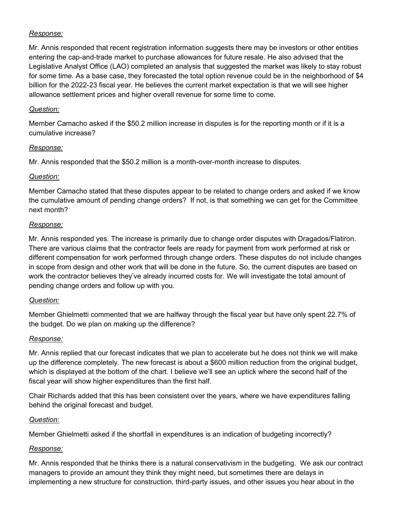#### *Response:*

Mr. Annis responded that recent registration information suggests there may be investors or other entities entering the cap-and-trade market to purchase allowances for future resale. He also advised that the Legislative Analyst Office (LAO) completed an analysis that suggested the market was likely to stay robust for some time. As a base case, they forecasted the total option revenue could be in the neighborhood of \$4 billion for the 2022-23 fiscal year. He believes the current market expectation is that we will see higher allowance settlement prices and higher overall revenue for some time to come.

#### *Question:*

Member Camacho asked if the \$50.2 million increase in disputes is for the reporting month or if it is a cumulative increase?

### *Response:*

Mr. Annis responded that the \$50.2 million is a month-over-month increase to disputes.

### *Question:*

Member Camacho stated that these disputes appear to be related to change orders and asked if we know the cumulative amount of pending change orders? If not, is that something we can get for the Committee next month?

### *Response:*

Mr. Annis responded yes. The increase is primarily due to change order disputes with Dragados/Flatiron. There are various claims that the contractor feels are ready for payment from work performed at risk or different compensation for work performed through change orders. These disputes do not include changes in scope from design and other work that will be done in the future. So, the current disputes are based on work the contractor believes they've already incurred costs for. We will investigate the total amount of pending change orders and follow up with you.

### *Question:*

Member Ghielmetti commented that we are halfway through the fiscal year but have only spent 22.7% of the budget. Do we plan on making up the difference?

### *Response:*

Mr. Annis replied that our forecast indicates that we plan to accelerate but he does not think we will make up the difference completely. The new forecast is about a \$600 million reduction from the original budget, which is displayed at the bottom of the chart. I believe we'll see an uptick where the second half of the fiscal year will show higher expenditures than the first half.

Chair Richards added that this has been consistent over the years, where we have expenditures falling behind the original forecast and budget.

### *Question:*

Member Ghielmetti asked if the shortfall in expenditures is an indication of budgeting incorrectly?

### *Response:*

Mr. Annis responded that he thinks there is a natural conservativism in the budgeting. We ask our contract managers to provide an amount they think they might need, but sometimes there are delays in implementing a new structure for construction, third-party issues, and other issues you hear about in the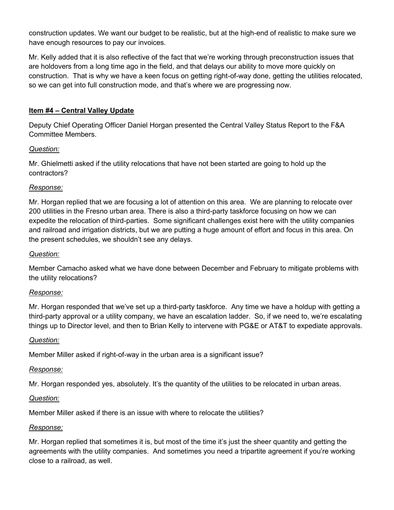construction updates. We want our budget to be realistic, but at the high-end of realistic to make sure we have enough resources to pay our invoices.

Mr. Kelly added that it is also reflective of the fact that we're working through preconstruction issues that are holdovers from a long time ago in the field, and that delays our ability to move more quickly on construction. That is why we have a keen focus on getting right-of-way done, getting the utilities relocated, so we can get into full construction mode, and that's where we are progressing now.

#### **Item #4 – Central Valley Update**

Deputy Chief Operating Officer Daniel Horgan presented the Central Valley Status Report to the F&A Committee Members.

#### *Question:*

Mr. Ghielmetti asked if the utility relocations that have not been started are going to hold up the contractors?

#### *Response:*

Mr. Horgan replied that we are focusing a lot of attention on this area. We are planning to relocate over 200 utilities in the Fresno urban area. There is also a third-party taskforce focusing on how we can expedite the relocation of third-parties. Some significant challenges exist here with the utility companies and railroad and irrigation districts, but we are putting a huge amount of effort and focus in this area. On the present schedules, we shouldn't see any delays.

#### *Question:*

Member Camacho asked what we have done between December and February to mitigate problems with the utility relocations?

#### *Response:*

Mr. Horgan responded that we've set up a third-party taskforce. Any time we have a holdup with getting a third-party approval or a utility company, we have an escalation ladder. So, if we need to, we're escalating things up to Director level, and then to Brian Kelly to intervene with PG&E or AT&T to expediate approvals.

#### *Question:*

Member Miller asked if right-of-way in the urban area is a significant issue?

#### *Response:*

Mr. Horgan responded yes, absolutely. It's the quantity of the utilities to be relocated in urban areas.

#### *Question:*

Member Miller asked if there is an issue with where to relocate the utilities?

#### *Response:*

Mr. Horgan replied that sometimes it is, but most of the time it's just the sheer quantity and getting the agreements with the utility companies. And sometimes you need a tripartite agreement if you're working close to a railroad, as well.